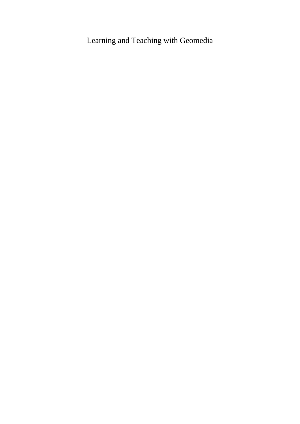## Learning and Teaching with Geomedia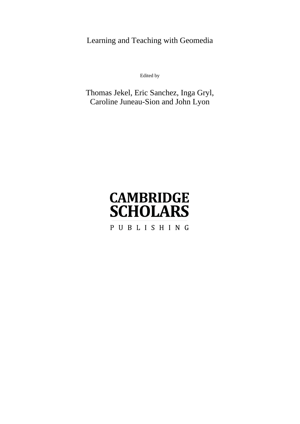Learning and Teaching with Geomedia

Edited by

## Thomas Jekel, Eric Sanchez, Inga Gryl, Caroline Juneau-Sion and John Lyon

# **CAMBRIDGE SCHOLARS** PUBLISHING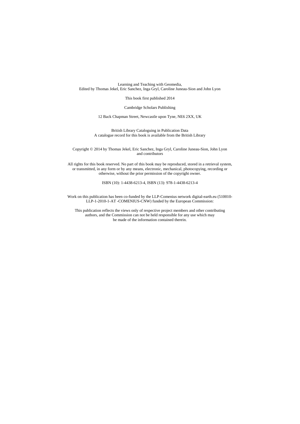Learning and Teaching with Geomedia, Edited by Thomas Jekel, Eric Sanchez, Inga Gryl, Caroline Juneau-Sion and John Lyon

This book first published 2014

Cambridge Scholars Publishing

12 Back Chapman Street, Newcastle upon Tyne, NE6 2XX, UK

British Library Cataloguing in Publication Data A catalogue record for this book is available from the British Library

Copyright © 2014 by Thomas Jekel, Eric Sanchez, Inga Gryl, Caroline Juneau-Sion, John Lyon and contributors

All rights for this book reserved. No part of this book may be reproduced, stored in a retrieval system, or transmitted, in any form or by any means, electronic, mechanical, photocopying, recording or otherwise, without the prior permission of the copyright owner.

ISBN (10): 1-4438-6213-4, ISBN (13): 978-1-4438-6213-4

Work on this publication has been co-funded by the LLP-Comenius network digital-earth.eu (510010- LLP-1-2010-1-AT -COMENIUS-CNW) funded by the European Commission:

This publication reflects the views only of respective project members and other contributing authors, and the Commission can not be held responsible for any use which may be made of the information contained therein.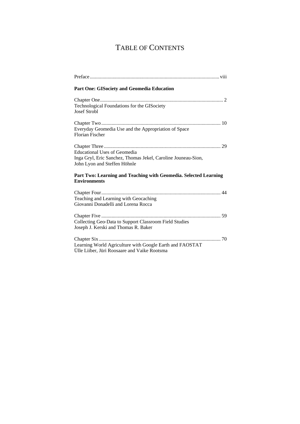## TABLE OF CONTENTS

| Part One: GISociety and Geomedia Education                                                                                           |
|--------------------------------------------------------------------------------------------------------------------------------------|
| Technological Foundations for the GISociety<br><b>Josef Strobl</b>                                                                   |
| Everyday Geomedia Use and the Appropriation of Space<br><b>Florian Fischer</b>                                                       |
| <b>Educational Uses of Geomedia</b><br>Inga Gryl, Eric Sanchez, Thomas Jekel, Caroline Jouneau-Sion,<br>John Lyon and Steffen Höhnle |
| Part Two: Learning and Teaching with Geomedia. Selected Learning<br><b>Environments</b>                                              |
| Teaching and Learning with Geocaching<br>Giovanni Donadelli and Lorena Rocca                                                         |
| Collecting Geo-Data to Support Classroom Field Studies<br>Joseph J. Kerski and Thomas R. Baker                                       |
| Learning World Agriculture with Google Earth and FAOSTAT<br>Ülle Liiber, Jüri Roosaare and Vaike Rootsma                             |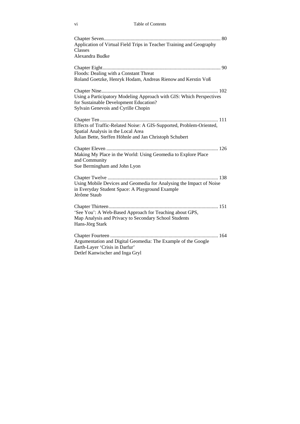| Application of Virtual Field Trips in Teacher Training and Geography<br><b>Classes</b><br>Alexandra Budke                                                             |
|-----------------------------------------------------------------------------------------------------------------------------------------------------------------------|
| Floods: Dealing with a Constant Threat<br>Roland Goetzke, Henryk Hodam, Andreas Rienow and Kerstin Voß                                                                |
| Using a Participatory Modeling Approach with GIS: Which Perspectives<br>for Sustainable Development Education?<br>Sylvain Genevois and Cyrille Chopin                 |
| Effects of Traffic-Related Noise: A GIS-Supported, Problem-Oriented,<br>Spatial Analysis in the Local Area<br>Julian Bette, Steffen Höhnle and Jan Christoph Schubert |
| Making My Place in the World: Using Geomedia to Explore Place<br>and Community<br>Sue Bermingham and John Lyon                                                        |
| Using Mobile Devices and Geomedia for Analysing the Impact of Noise<br>in Everyday Student Space: A Playground Example<br>Jérôme Staub                                |
| 'See You': A Web-Based Approach for Teaching about GPS,<br>Map Analysis and Privacy to Secondary School Students<br>Hans-Jörg Stark                                   |
| Argumentation and Digital Geomedia: The Example of the Google<br>Earth-Layer 'Crisis in Darfur'<br>Detlef Kanwischer and Inga Gryl                                    |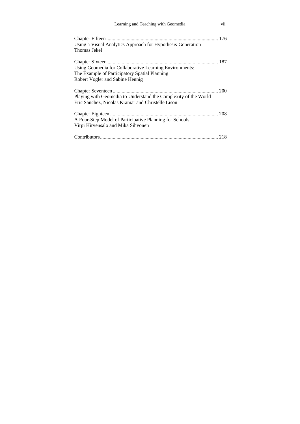| Learning and Teaching with Geomedia                                                                                                         | vii |
|---------------------------------------------------------------------------------------------------------------------------------------------|-----|
| Using a Visual Analytics Approach for Hypothesis-Generation<br>Thomas Jekel                                                                 |     |
| Using Geomedia for Collaborative Learning Environments:<br>The Example of Participatory Spatial Planning<br>Robert Vogler and Sabine Hennig |     |
| Playing with Geomedia to Understand the Complexity of the World<br>Eric Sanchez, Nicolas Kramar and Christelle Lison                        |     |
| A Four-Step Model of Participative Planning for Schools<br>Virpi Hirvensalo and Mika Sihvonen                                               |     |
|                                                                                                                                             |     |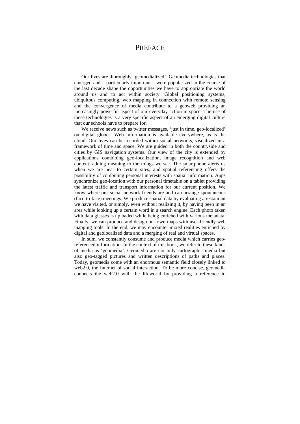### **PREFACE**

Our lives are thoroughly 'geomedialized'. Geomedia technologies that emerged and – particularly important – were popularized in the course of the last decade shape the opportunities we have to appropriate the world around us and to act within society. Global positioning systems, ubiquitous computing, web mapping in connection with remote sensing and the convergence of media contribute to a geoweb providing an increasingly powerful aspect of our everyday action in space. The use of these technologies is a very specific aspect of an emerging digital culture that our schools have to prepare for.

We receive news such as twitter messages, 'just in time, geo-localized' on digital globes. Web information is available everywhere, as is the cloud. Our lives can be recorded within social networks, visualized in a framework of time and space. We are guided in both the countryside and cities by GIS navigation systems. Our view of the city is extended by applications combining geo-localization, image recognition and web content, adding meaning to the things we see. The smartphone alerts us when we are near to certain sites, and spatial referencing offers the possibility of combining personal interests with spatial information. Apps synchronize geo-location with our personal timetable on a tablet providing the latest traffic and transport information for our current position. We know where our social network friends are and can arrange spontaneous (face-to-face) meetings. We produce spatial data by evaluating a restaurant we have visited, or simply, even without realizing it, by having been in an area while looking up a certain word in a search engine. Each photo taken with data glasses is uploaded while being enriched with various metadata. Finally, we can produce and design our own maps with user-friendly web mapping tools. In the end, we may encounter mixed realities enriched by digital and geolocalized data and a merging of real and virtual spaces.

In sum, we constantly consume and produce media which carries georeferenced information. In the context of this book, we refer to these kinds of media as 'geomedia'. Geomedia are not only cartographic media but also geo-tagged pictures and written descriptions of paths and places. Today, geomedia come with an enormous semantic field closely linked to web2.0, the Internet of social interaction. To be more concise, geomedia connects the web2.0 with the lifeworld by providing a reference to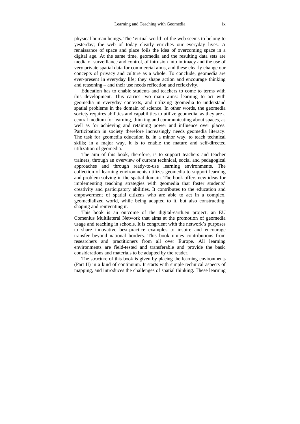physical human beings. The 'virtual world' of the web seems to belong to yesterday; the web of today clearly enriches our everyday lives. A renaissance of space and place foils the idea of overcoming space in a digital age. At the same time, geomedia and the resulting data sets are media of surveillance and control, of intrusion into intimacy and the use of very private spatial data for commercial aims, and these clearly change our concepts of privacy and culture as a whole. To conclude, geomedia are ever-present in everyday life; they shape action and encourage thinking and reasoning – and their use needs reflection and reflexivity.

Education has to enable students and teachers to come to terms with this development. This carries two main aims: learning to act with geomedia in everyday contexts, and utilizing geomedia to understand spatial problems in the domain of science. In other words, the geomedia society requires abilities and capabilities to utilize geomedia, as they are a central medium for learning, thinking and communicating about spaces, as well as for achieving and retaining power and influence over places. Participation in society therefore increasingly needs geomedia literacy. The task for geomedia education is, in a minor way, to teach technical skills; in a major way, it is to enable the mature and self-directed utilization of geomedia.

The aim of this book, therefore, is to support teachers and teacher trainers, through an overview of current technical, social and pedagogical approaches and through ready-to-use learning environments. The collection of learning environments utilizes geomedia to support learning and problem solving in the spatial domain. The book offers new ideas for implementing teaching strategies with geomedia that foster students' creativity and participatory abilities. It contributes to the education and empowerment of spatial citizens who are able to act in a complex, geomedialized world, while being adapted to it, but also constructing, shaping and reinventing it.

This book is an outcome of the digital-earth.eu project, an EU Comenius Multilateral Network that aims at the promotion of geomedia usage and teaching in schools. It is congruent with the network's purposes to share innovative best-practice examples to inspire and encourage transfer beyond national borders. This book unites contributions from researchers and practitioners from all over Europe. All learning environments are field-tested and transferable and provide the basic considerations and materials to be adapted by the reader.

The structure of this book is given by placing the learning environments (Part II) in a kind of continuum. It starts with simple technical aspects of mapping, and introduces the challenges of spatial thinking. These learning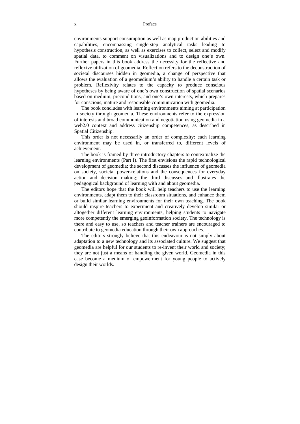#### x Preface

environments support consumption as well as map production abilities and capabilities, encompassing single-step analytical tasks leading to hypothesis construction, as well as exercises to collect, select and modify spatial data, to comment on visualizations and to design one's own. Further papers in this book address the necessity for the reflective and reflexive utilization of geomedia. Reflection refers to the deconstruction of societal discourses hidden in geomedia, a change of perspective that allows the evaluation of a geomedium's ability to handle a certain task or problem. Reflexivity relates to the capacity to produce conscious hypotheses by being aware of one's own construction of spatial scenarios based on medium, preconditions, and one's own interests, which prepares for conscious, mature and responsible communication with geomedia.

The book concludes with learning environments aiming at participation in society through geomedia. These environments refer to the expression of interests and broad communication and negotiation using geomedia in a web2.0 context and address citizenship competences, as described in Spatial Citizenship.

This order is not necessarily an order of complexity: each learning environment may be used in, or transferred to, different levels of achievement.

The book is framed by three introductory chapters to contextualize the learning environments (Part I). The first envisions the rapid technological development of geomedia; the second discusses the influence of geomedia on society, societal power-relations and the consequences for everyday action and decision making; the third discusses and illustrates the pedagogical background of learning with and about geomedia.

The editors hope that the book will help teachers to use the learning environments, adapt them to their classroom situations, and enhance them or build similar learning environments for their own teaching. The book should inspire teachers to experiment and creatively develop similar or altogether different learning environments, helping students to navigate more competently the emerging geoinformation society. The technology is there and easy to use, so teachers and teacher trainers are encouraged to contribute to geomedia education through their own approaches.

The editors strongly believe that this endeavour is not simply about adaptation to a new technology and its associated culture. We suggest that geomedia are helpful for our students to re-invent their world and society; they are not just a means of handling the given world. Geomedia in this case become a medium of empowerment for young people to actively design their worlds.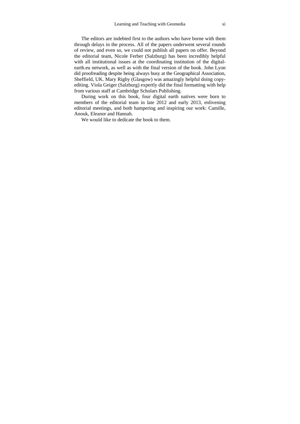The editors are indebted first to the authors who have borne with them through delays in the process. All of the papers underwent several rounds of review, and even so, we could not publish all papers on offer. Beyond the editorial team, Nicole Ferber (Salzburg) has been incredibly helpful with all institutional issues at the coordinating institution of the digitalearth.eu network, as well as with the final version of the book. John Lyon did proofreading despite being always busy at the Geographical Association, Sheffield, UK. Mary Rigby (Glasgow) was amazingly helpful doing copyediting. Viola Geiger (Salzburg) expertly did the final formatting with help from various staff at Cambridge Scholars Publishing.

During work on this book, four digital earth natives were born to members of the editorial team in late 2012 and early 2013, enlivening editorial meetings, and both hampering and inspiring our work: Camille, Anouk, Eleanor and Hannah.

We would like to dedicate the book to them.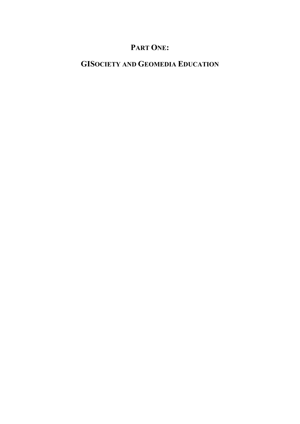## **PART ONE:**

## **GISOCIETY AND GEOMEDIA EDUCATION**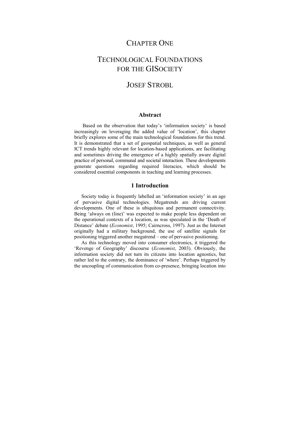### CHAPTER ONE

## TECHNOLOGICAL FOUNDATIONS FOR THE GISOCIETY

### JOSEF STROBL

#### **Abstract**

 Based on the observation that today's 'information society' is based increasingly on leveraging the added value of 'location', this chapter briefly explores some of the main technological foundations for this trend. It is demonstrated that a set of geospatial techniques, as well as general ICT trends highly relevant for location-based applications, are facilitating and sometimes driving the emergence of a highly spatially aware digital practice of personal, communal and societal interaction. These developments generate questions regarding required literacies, which should be considered essential components in teaching and learning processes.

#### **1 Introduction**

Society today is frequently labelled an 'information society' in an age of pervasive digital technologies. Megatrends are driving current developments. One of these is ubiquitous and permanent connectivity. Being 'always on (line)' was expected to make people less dependent on the operational contexts of a location, as was speculated in the 'Death of Distance' debate (*Economist*, 1995; Cairncross, 1997). Just as the Internet originally had a military background, the use of satellite signals for positioning triggered another megatrend – one of pervasive positioning.

As this technology moved into consumer electronics, it triggered the 'Revenge of Geography' discourse (*Economist*, 2003). Obviously, the information society did not turn its citizens into location agnostics, but rather led to the contrary, the dominance of 'where'. Perhaps triggered by the uncoupling of communication from co-presence, bringing location into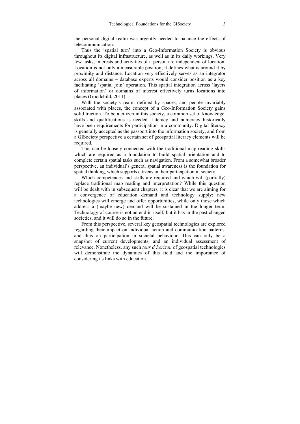the personal digital realm was urgently needed to balance the effects of telecommunication.

Thus the 'spatial turn' into a Geo-Information Society is obvious throughout its digital infrastructure, as well as in its daily workings. Very few tasks, interests and activities of a person are independent of location. Location is not only a measurable position; it defines what is around it by proximity and distance. Location very effectively serves as an integrator across all domains – database experts would consider position as a key facilitating 'spatial join' operation. This spatial integration across 'layers of information' or domains of interest effectively turns locations into places (Goodchild, 2011).

With the society's realm defined by spaces, and people invariably associated with places, the concept of a Geo-Information Society gains solid traction. To be a citizen in this society, a common set of knowledge, skills and qualifications is needed. Literacy and numeracy historically have been requirements for participation in a community. Digital literacy is generally accepted as the passport into the information society, and from a GISociety perspective a certain set of geospatial literacy elements will be required.

This can be loosely connected with the traditional map-reading skills which are required as a foundation to build spatial orientation and to complete certain spatial tasks such as navigation. From a somewhat broader perspective, an individual's general spatial awareness is the foundation for spatial thinking, which supports citizens in their participation in society.

Which competences and skills are required and which will (partially) replace traditional map reading and interpretation? While this question will be dealt with in subsequent chapters, it is clear that we are aiming for a convergence of education demand and technology supply: new technologies will emerge and offer opportunities, while only those which address a (maybe new) demand will be sustained in the longer term. Technology of course is not an end in itself, but it has in the past changed societies, and it will do so in the future.

From this perspective, several key geospatial technologies are explored regarding their impact on individual action and communication patterns, and thus on participation in societal behaviour. This can only be a snapshot of current developments, and an individual assessment of relevance. Nonetheless, any such *tour d'horizon* of geospatial technologies will demonstrate the dynamics of this field and the importance of considering its links with education.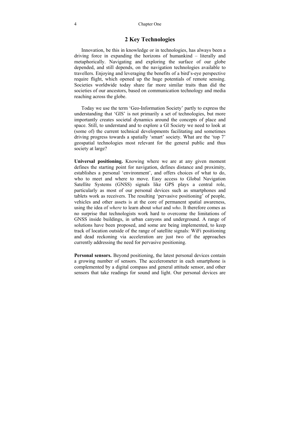#### **2 Key Technologies**

Innovation, be this in knowledge or in technologies, has always been a driving force in expanding the horizons of humankind – literally and metaphorically. Navigating and exploring the surface of our globe depended, and still depends, on the navigation technologies available to travellers. Enjoying and leveraging the benefits of a bird's-eye perspective require flight, which opened up the huge potentials of remote sensing. Societies worldwide today share far more similar traits than did the societies of our ancestors, based on communication technology and media reaching across the globe.

Today we use the term 'Geo-Information Society' partly to express the understanding that 'GIS' is not primarily a set of technologies, but more importantly creates societal dynamics around the concepts of place and space. Still, to understand and to explore a GI Society we need to look at (some of) the current technical developments facilitating and sometimes driving progress towards a spatially 'smart' society. What are the 'top 7' geospatial technologies most relevant for the general public and thus society at large?

**Universal positioning.** Knowing where we are at any given moment defines the starting point for navigation, defines distance and proximity, establishes a personal 'environment', and offers choices of what to do, who to meet and where to move. Easy access to Global Navigation Satellite Systems (GNSS) signals like GPS plays a central role, particularly as most of our personal devices such as smartphones and tablets work as receivers. The resulting 'pervasive positioning' of people, vehicles and other assets is at the core of permanent spatial awareness, using the idea of *where* to learn about *what* and *who*. It therefore comes as no surprise that technologists work hard to overcome the limitations of GNSS inside buildings, in urban canyons and underground. A range of solutions have been proposed, and some are being implemented, to keep track of location outside of the range of satellite signals: WiFi positioning and dead reckoning via acceleration are just two of the approaches currently addressing the need for pervasive positioning.

**Personal sensors.** Beyond positioning, the latest personal devices contain a growing number of sensors. The accelerometer in each smartphone is complemented by a digital compass and general attitude sensor, and other sensors that take readings for sound and light. Our personal devices are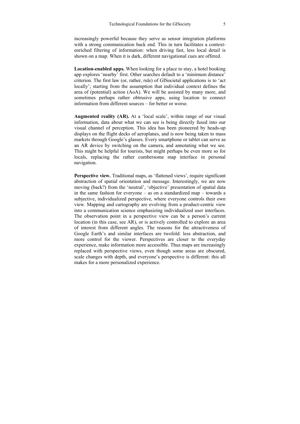increasingly powerful because they serve as sensor integration platforms with a strong communication back end. This in turn facilitates a contextenriched filtering of information: when driving fast, less local detail is shown on a map. When it is dark, different navigational cues are offered.

**Location-enabled apps.** When looking for a place to stay, a hotel booking app explores 'nearby' first. Other searches default to a 'minimum distance' criterion. The first law (or, rather, rule) of GISocietal applications is to 'act locally'; starting from the assumption that individual context defines the area of (potential) action (AoA). We will be assisted by many more, and sometimes perhaps rather obtrusive apps, using location to connect information from different sources – for better or worse.

**Augmented reality (AR).** At a 'local scale', within range of our visual information, data about what we can see is being directly fused into our visual channel of perception. This idea has been pioneered by heads-up displays on the flight decks of aeroplanes, and is now being taken to mass markets through Google's glasses. Every smartphone or tablet can serve as an AR device by switching on the camera, and annotating what we see. This might be helpful for tourists, but might perhaps be even more so for locals, replacing the rather cumbersome map interface in personal navigation.

**Perspective view.** Traditional maps, as 'flattened views', require significant abstraction of spatial orientation and message. Interestingly, we are now moving (back?) from the 'neutral', 'objective' presentation of spatial data in the same fashion for everyone – as on a standardized map – towards a subjective, individualized perspective, where everyone controls their own view. Mapping and cartography are evolving from a product-centric view into a communication science emphasizing individualized user interfaces. The observation point in a perspective view can be a person's current location (in this case, see AR), or is actively controlled to explore an area of interest from different angles. The reasons for the attractiveness of Google Earth's and similar interfaces are twofold: less abstraction, and more control for the viewer. Perspectives are closer to the everyday experience, make information more accessible. Thus maps are increasingly replaced with perspective views, even though some areas are obscured, scale changes with depth, and everyone's perspective is different: this all makes for a more personalized experience.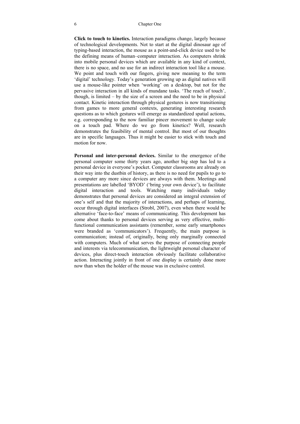#### 6 Chapter One

**Click to touch to kinetics.** Interaction paradigms change, largely because of technological developments. Not to start at the digital dinosaur age of typing-based interaction, the mouse as a point-and-click device used to be the defining means of human–computer interaction. As computers shrink into mobile personal devices which are available in any kind of context, there is no space, and no use for an indirect interaction tool like a mouse. We point and touch with our fingers, giving new meaning to the term 'digital' technology. Today's generation growing up as digital natives will use a mouse-like pointer when 'working' on a desktop, but not for the pervasive interaction in all kinds of mundane tasks. 'The reach of touch', though, is limited – by the size of a screen and the need to be in physical contact. Kinetic interaction through physical gestures is now transitioning from games to more general contexts, generating interesting research questions as to which gestures will emerge as standardized spatial actions, e.g. corresponding to the now familiar pincer movement to change scale on a touch pad. Where do we go from kinetics? Well, research demonstrates the feasibility of mental control. But most of our thoughts are in specific languages. Thus it might be easier to stick with touch and motion for now.

**Personal and inter-personal devices.** Similar to the emergence of the personal computer some thirty years ago, another big step has led to a personal device in everyone's pocket. Computer classrooms are already on their way into the dustbin of history, as there is no need for pupils to go to a computer any more since devices are always with them. Meetings and presentations are labelled 'BYOD' ('bring your own device'), to facilitate digital interaction and tools. Watching many individuals today demonstrates that personal devices are considered an integral extension of one's self and that the majority of interactions, and perhaps of learning, occur through digital interfaces (Strobl, 2007), even when there would be alternative 'face-to-face' means of communicating. This development has come about thanks to personal devices serving as very effective, multifunctional communication assistants (remember, some early smartphones were branded as 'communicators'). Frequently, the main purpose is communication; instead of, originally, being only marginally connected with computers. Much of what serves the purpose of connecting people and interests via telecommunication, the lightweight personal character of devices, plus direct-touch interaction obviously facilitate collaborative action. Interacting jointly in front of one display is certainly done more now than when the holder of the mouse was in exclusive control.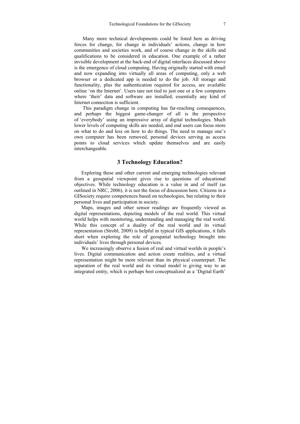Many more technical developments could be listed here as driving forces for change, for change in individuals' actions, change in how communities and societies work, and of course change in the skills and qualifications to be considered in education. One example of a rather invisible development at the back-end of digital interfaces discussed above is the emergence of cloud computing. Having originally started with email and now expanding into virtually all areas of computing, only a web browser or a dedicated app is needed to do the job. All storage and functionality, plus the authentication required for access, are available online 'on the Internet'. Users tare not tied to just one or a few computers where 'their' data and software are installed; essentially any kind of Internet connection is sufficient.

 This paradigm change in computing has far-reaching consequences, and perhaps the biggest game-changer of all is the perspective of 'everybody' using an impressive array of digital technologies. Much lower levels of computing skills are needed, and end users can focus more on what to do and less on how to do things. The need to manage one's own computer has been removed, personal devices serving as access points to cloud services which update themselves and are easily interchangeable.

### **3 Technology Education?**

Exploring these and other current and emerging technologies relevant from a geospatial viewpoint gives rise to questions of educational objectives. While technology education is a value in and of itself (as outlined in NRC, 2006), it is not the focus of discussion here. Citizens in a GISociety require competences based on technologies, but relating to their personal lives and participation in society.

Maps, images and other sensor readings are frequently viewed as digital representations, depicting models of the real world. This virtual world helps with monitoring, understanding and managing the real world. While this concept of a duality of the real world and its virtual representation (Strobl, 2009) is helpful in typical GIS applications, it falls short when exploring the role of geospatial technology brought into individuals' lives through personal devices.

We increasingly observe a fusion of real and virtual worlds in people's lives. Digital communication and action create realities, and a virtual representation might be more relevant than its physical counterpart. The separation of the real world and its virtual model is giving way to an integrated entity, which is perhaps best conceptualized as a 'Digital Earth'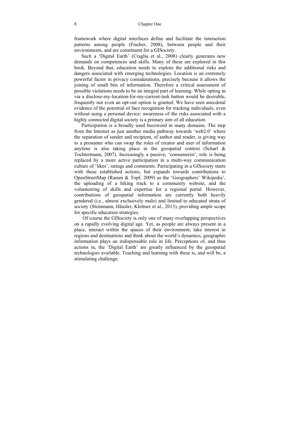framework where digital interfaces define and facilitate the interaction patterns among people (Fischer, 2008), between people and their environments, and are constituent for a GISociety.

Such a 'Digital Earth' (Craglia et al., 2008) clearly generates new demands on competences and skills. Many of these are explored in this book. Beyond that, education needs to explore the additional risks and dangers associated with emerging technologies. Location is an extremely powerful factor in privacy considerations, precisely because it allows the joining of small bits of information. Therefore a critical assessment of possible violations needs to be an integral part of learning. While opting in via a disclose-my-location-for-my-current-task button would be desirable, frequently not even an opt-out option is granted. We have seen anecdotal evidence of the potential of face recognition for tracking individuals, even without using a personal device: awareness of the risks associated with a highly connected digital society is a primary aim of all education.

Participation is a broadly used buzzword in many domains. The step from the Internet as just another media pathway towards 'web2.0' where the separation of sender and recipient, of author and reader, is giving way to a prosumer who can swap the roles of creator and user of information anytime is also taking place in the geospatial context (Scharl  $\&$ Tochtermann, 2007). Increasingly a passive, 'consumerist', role is being replaced by a more active participation in a multi-way communication culture of 'likes', ratings and comments. Participating in a GISociety starts with these established actions, but expands towards contributions to OpenStreetMap (Ramm & Topf, 2009) as the 'Geographers' Wikipedia', the uploading of a hiking track to a community website, and the volunteering of skills and expertise for a regional portal. However, contributions of geospatial information are currently both heavily gendered (i.e., almost exclusively male) and limited to educated strata of society (Steinmann, Häusler, Klettner et al., 2013), providing ample scope for specific education strategies.

 Of course the GISociety is only one of many overlapping perspectives on a rapidly evolving digital age. Yet, as people are always present in a place, interact within the spaces of their environment, take interest in regions and destinations and think about the world's dynamics, geographic information plays an indispensable role in life. Perceptions of, and thus actions in, the 'Digital Earth' are greatly influenced by the geospatial technologies available. Teaching and learning with these is, and will be, a stimulating challenge.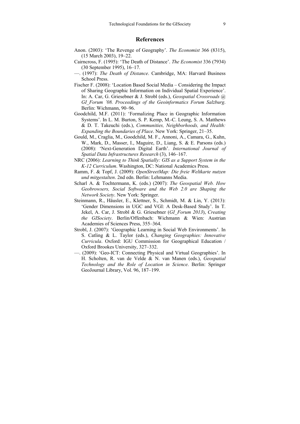### **References**

- Anon. (2003): 'The Revenge of Geography'. *The Economist* 366 (8315), (15 March 2003), 19–22.
- Cairncross, F. (1995): 'The Death of Distance'. *The Economist* 336 (7934) (30 September 1995), 16–17.
- —. (1997): *The Death of Distance*. Cambridge, MA: Harvard Business School Press.
- Fischer F. (2008): 'Location Based Social Media Considering the Impact of Sharing Geographic Information on Individual Spatial Experience'. In: A. Car, G. Griesebner & J. Strobl (eds.), *Geospatial Crossroads @ GI\_Forum '08. Proceedings of the Geoinformatics Forum Salzburg*. Berlin: Wichmann, 90–96.
- Goodchild, M.F. (2011): 'Formalizing Place in Geographic Information Systems'. In L. M. Burton, S. P. Kemp, M.-C. Leung, S. A. Matthews & D. T. Takeuchi (eds.), *Communities, Neighborhoods, and Health: Expanding the Boundaries of Place*. New York: Springer, 21–35.
- Gould, M., Craglia, M., Goodchild, M. F., Annoni, A., Camara, G., Kuhn, W., Mark, D., Masser, I., Maguire, D., Liang, S. & E. Parsons (eds.) (2008): 'Next-Generation Digital Earth'. *International Journal of Spatial Data Infrastructures Research* (3), 146–167.
- NRC (2006): *Learning to Think Spatially: GIS as a Support System in the K-12 Curriculum*. Washington, DC: National Academics Press.
- Ramm, F. & Topf, J. (2009): *OpenStreetMap: Die freie Weltkarte nutzen und mitgestalten*. 2nd edn. Berlin: Lehmanns Media.
- Scharl A. & Tochtermann, K. (eds.) (2007): *The Geospatial Web. How Geobrowsers, Social Software and the Web 2.0 are Shaping the Network Society*. New York: Springer.
- Steinmann, R., Häusler, E., Klettner, S., Schmidt, M. & Lin, Y. (2013): 'Gender Dimensions in UGC and VGI: A Desk-Based Study'. In T. Jekel, A. Car, J. Strobl & G. Griesebner (*GI\_Forum 2013*), *Creating the GISociety*. Berlin/Offenbach: Wichmann & Wien: Austrian Academies of Sciences Press, 355–364.
- Strobl, J. (2007): 'Geographic Learning in Social Web Environments'. In S. Catling & L. Taylor (eds.), *Changing Geographies: Innovative Curricula*. Oxford: IGU Commission for Geographical Education / Oxford Brookes University, 327–332.
- —. (2009): 'Geo-ICT: Connecting Physical and Virtual Geographies'. In H. Scholten, R. van de Velde & N. van Manen (eds.), *Geospatial Technology and the Role of Location in Science*. Berlin: Springer GeoJournal Library, Vol. 96, 187–199.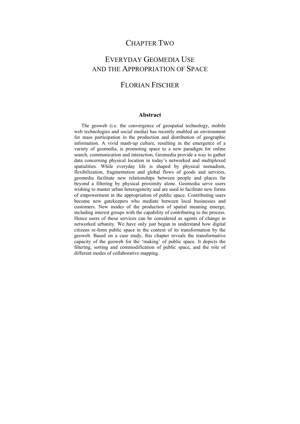### CHAPTER TWO

## EVERYDAY GEOMEDIA USE AND THE APPROPRIATION OF SPACE

## FLORIAN FISCHER

#### **Abstract**

The geoweb (i.e. the convergence of geospatial technology, mobile web technologies and social media) has recently enabled an environment for mass participation in the production and distribution of geographic information. A vivid mash-up culture, resulting in the emergence of a variety of geomedia, is promoting space to a new paradigm for online search, communication and interaction. Geomedia provide a way to gather data concerning physical location in today's networked and multiplexed spatialities. While everyday life is shaped by physical nomadism, flexibilization, fragmentation and global flows of goods and services, geomedia facilitate new relationships between people and places far beyond a filtering by physical proximity alone. Geomedia serve users wishing to master urban heterogeneity and are used to facilitate new forms of empowerment in the appropriation of public space. Contributing users become new gatekeepers who mediate between local businesses and customers. New modes of the production of spatial meaning emerge, including interest groups with the capability of contributing to the process. Hence users of these services can be considered as agents of change in networked urbanity. We have only just begun to understand how digital citizens re-form public space in the context of its transformation by the geoweb. Based on a case study, this chapter reveals the transformative capacity of the geoweb for the 'making' of public space. It depicts the filtering, sorting and commodification of public space, and the role of different modes of collaborative mapping.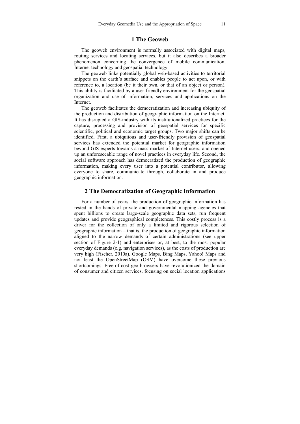#### **1 The Geoweb**

The geoweb environment is normally associated with digital maps, routing services and locating services, but it also describes a broader phenomenon concerning the convergence of mobile communication, Internet technology and geospatial technology.

The geoweb links potentially global web-based activities to territorial snippets on the earth's surface and enables people to act upon, or with reference to, a location (be it their own, or that of an object or person). This ability is facilitated by a user-friendly environment for the geospatial organization and use of information, services and applications on the **Internet** 

The geoweb facilitates the democratization and increasing ubiquity of the production and distribution of geographic information on the Internet. It has disrupted a GIS-industry with its institutionalized practices for the capture, processing and provision of geospatial services for specific scientific, political and economic target groups. Two major shifts can be identified. First, a ubiquitous and user-friendly provision of geospatial services has extended the potential market for geographic information beyond GIS-experts towards a mass market of Internet users, and opened up an unforeseeable range of novel practices in everyday life. Second, the social software approach has democratized the production of geographic information, making every user into a potential contributor, allowing everyone to share, communicate through, collaborate in and produce geographic information.

#### **2 The Democratization of Geographic Information**

For a number of years, the production of geographic information has rested in the hands of private and governmental mapping agencies that spent billions to create large-scale geographic data sets, run frequent updates and provide geographical completeness. This costly process is a driver for the collection of only a limited and rigorous selection of geographic information – that is, the production of geographic information aligned to the narrow demands of certain administrations (see upper section of Figure 2-1) and enterprises or, at best, to the most popular everyday demands (e.g. navigation services), as the costs of production are very high (Fischer, 2010a). Google Maps, Bing Maps, Yahoo! Maps and not least the OpenStreetMap (OSM) have overcome these previous shortcomings. Free-of-cost geo-browsers have revolutionized the domain of consumer and citizen services, focusing on social location applications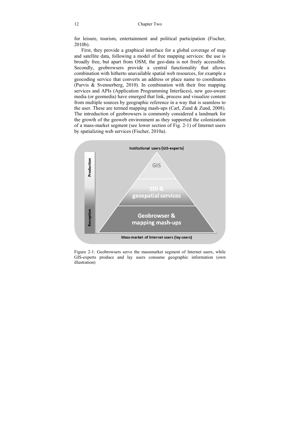for leisure, tourism, entertainment and political participation (Fischer, 2010b).

First, they provide a graphical interface for a global coverage of map and satellite data, following a model of free mapping services: the use is broadly free, but apart from OSM, the geo-data is not freely accessible. Secondly, geobrowsers provide a central functionality that allows combination with hitherto unavailable spatial web resources, for example a geocoding service that converts an address or place name to coordinates (Purvis & Svennerberg, 2010). In combination with their free mapping services and APIs (Application Programming Interfaces), new geo-aware media (or geomedia) have emerged that link, process and visualize content from multiple sources by geographic reference in a way that is seamless to the user. These are termed mapping mash-ups (Carl, Zund & Zund, 2008). The introduction of geobrowsers is commonly considered a landmark for the growth of the geoweb environment as they supported the colonization of a mass-market segment (see lower section of Fig. 2-1) of Internet users by spatializing web services (Fischer, 2010a).



Figure 2-1: Geobrowsers serve the massmarket segment of Internet users, while GIS-experts produce and lay users consume geographic information (own illustration)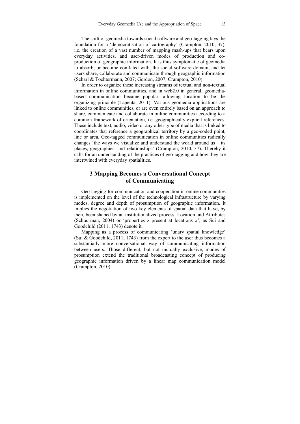The shift of geomedia towards social software and geo-tagging lays the foundation for a 'democratisation of cartography' (Crampton, 2010, 37), i.e. the creation of a vast number of mapping mash-ups that bears upon everyday activities, and user-driven modes of production and coproduction of geographic information. It is thus symptomatic of geomedia to absorb, or become conflated with, the social software domain, and let users share, collaborate and communicate through geographic information (Scharl & Tochtermann, 2007; Gordon, 2007; Crampton, 2010).

In order to organize these increasing streams of textual and non-textual information in online communities, and in web2.0 in general, geomediabased communication became popular, allowing location to be the organizing principle (Lapenta, 2011). Various geomedia applications are linked to online communities, or are even entirely based on an approach to share, communicate and collaborate in online communities according to a common framework of orientation, i.e. geographically explicit references. These include text, audio, video or any other type of media that is linked to coordinates that reference a geographical territory by a geo-coded point, line or area. Geo-tagged communication in online communities radically changes 'the ways we visualize and understand the world around us  $-$  its places, geographies, and relationships' (Crampton, 2010, 37). Thereby it calls for an understanding of the practices of geo-tagging and how they are intertwined with everyday spatialities.

### **3 Mapping Becomes a Conversational Concept of Communicating**

Geo-tagging for communication and cooperation in online communities is implemented on the level of the technological infrastructure by varying modes, degree and depth of prosumption of geographic information. It implies the negotiation of two key elements of spatial data that have, by then, been shaped by an institutionalized process: Location and Attributes (Schuurman, 2004) or 'properties z present at locations x', as Sui and Goodchild (2011, 1743) denote it.

Mapping as a process of communicating 'unary spatial knowledge' (Sui  $\&$  Goodchild, 2011, 1743) from the expert to the user thus becomes a substantially more conversational way of communicating information between users. Those different, but not mutually exclusive, modes of prosumption extend the traditional broadcasting concept of producing geographic information driven by a linear map communication model (Crampton, 2010).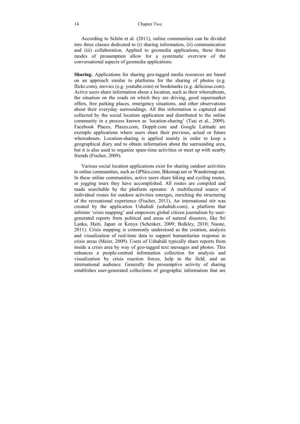#### 14 Chapter Two

According to Schön et al. (2011), online communities can be divided into three classes dedicated to (i) sharing information, (ii) communication and (iii) collaboration. Applied to geomedia applications, these three modes of prosumption allow for a systematic overview of the conversational aspects of geomedia applications.

**Sharing.** Applications for sharing geo-tagged media resources are based on an approach similar to platforms for the sharing of photos (e.g. flickr.com), movies (e.g. youtube.com) or bookmarks (e.g. delicious.com). Active users share information about a location, such as their whereabouts, the situation on the roads on which they are driving, good supermarket offers, free parking places, emergency situations, and other observations about their everyday surroundings. All this information is captured and collected by the social location application and distributed to the online community in a process known as 'location-sharing' (Tsai et al., 2009). Facebook Places, Plazes.com, Dopplr.com and Google Latitude are exemple applications where users share their previous, actual or future whereabouts. Location-sharing is applied mainly in order to keep a geographical diary and to obtain information about the surrounding area, but it is also used to organize spare-time activities or meet up with nearby friends (Fischer, 2009).

Various social location applications exist for sharing outdoor activities in online communities, such as GPSies.com, Bikemap.net or Wandermap.net. In these online communities, active users share hiking and cycling routes, or jogging tours they have accomplished. All routes are compiled and made searchable by the platform operator. A multifaceted source of individual routes for outdoor activities emerges, enriching the structuring of the recreational experience (Fischer, 2011). An international stir was created by the application Ushahidi (ushahidi.com), a platform that informs 'crisis mapping' and empowers global citizen journalism by usergenerated reports from political and areas of natural disasters, like Sri Lanka, Haiti, Japan or Kenya (Schenker, 2009; Bulkley, 2010; Naone, 2011). Crisis mapping is commonly understood as the creation, analysis and visualization of real-time data to support humanitarian response in crisis areas (Meier, 2009). Users of Ushahidi typically share reports from inside a crisis area by way of geo-tagged text messages and photos. This enhances a people-centred information collection for analysis and visualization by crisis reaction forces, help in the field, and an international audience. Generally the prosumptive activity of sharing establishes user-generated collections of geographic information that are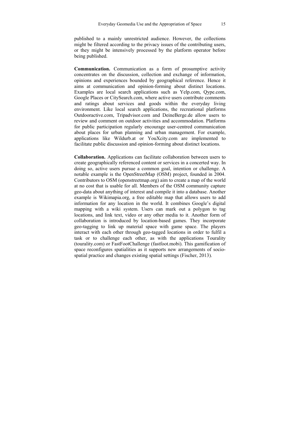published to a mainly unrestricted audience. However, the collections might be filtered according to the privacy issues of the contributing users, or they might be intensively processed by the platform operator before being published.

**Communication.** Communication as a form of prosumptive activity concentrates on the discussion, collection and exchange of information, opinions and experiences bounded by geographical reference. Hence it aims at communication and opinion-forming about distinct locations. Examples are local search applications such as Yelp.com, Qype.com, Google Places or CitySearch.com, where active users contribute comments and ratings about services and goods within the everyday living environment. Like local search applications, the recreational platforms Outdooractive.com, Tripadvisor.com and DeineBerge.de allow users to review and comment on outdoor activities and accommodation. Platforms for public participation regularly encourage user-centred communication about places for urban planning and urban management. For example, applications like Wildurb.at or YouXcity.com are implemented to facilitate public discussion and opinion-forming about distinct locations.

**Collaboration.** Applications can facilitate collaboration between users to create geographically referenced content or services in a concerted way. In doing so, active users pursue a common goal, intention or challenge. A notable example is the OpenStreetMap (OSM) project, founded in 2004. Contributors to OSM (openstreetmap.org) aim to create a map of the world at no cost that is usable for all. Members of the OSM community capture geo-data about anything of interest and compile it into a database. Another example is Wikimapia.org, a free editable map that allows users to add information for any location in the world. It combines Google's digital mapping with a wiki system. Users can mark out a polygon to tag locations, and link text, video or any other media to it. Another form of collaboration is introduced by location-based games. They incorporate geo-tagging to link up material space with game space. The players interact with each other through geo-tagged locations in order to fulfil a task or to challenge each other, as with the applications Tourality (tourality.com) or FastFootChallenge (fastfoot.mobi). This gamification of space reconfigures spatialities as it supports new arrangements of sociospatial practice and changes existing spatial settings (Fischer, 2013).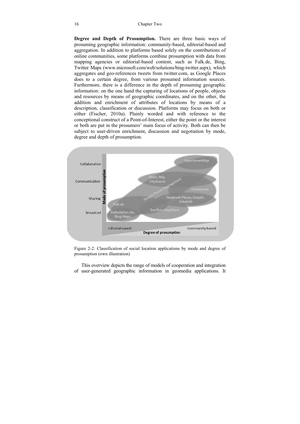#### 16 Chapter Two

**Degree and Depth of Prosumption.** There are three basic ways of prosuming geographic information: community-based, editorial-based and aggregation. In addition to platforms based solely on the contributions of online communities, some platforms combine prosumption with data from mapping agencies or editorial-based content, such as Falk.de, Bing, Twitter Maps (www.microsoft.com/web/solutions/bing-twitter.aspx), which aggregates and geo-references tweets from twitter.com, as Google Places does to a certain degree, from various prosumed information sources. Furthermore, there is a difference in the depth of prosuming geographic information: on the one hand the capturing of locations of people, objects and resources by means of geographic coordinates, and on the other, the addition and enrichment of attributes of locations by means of a description, classification or discussion. Platforms may focus on both or either (Fischer, 2010a). Plainly worded and with reference to the conceptional construct of a Point-of-Interest, either the point or the interest or both are put in the prosumers' main focus of activity. Both can then be subject to user-driven enrichment, discussion and negotiation by mode, degree and depth of prosumption.





This overview depicts the range of models of cooperation and integration of user-generated geographic information in geomedia applications. It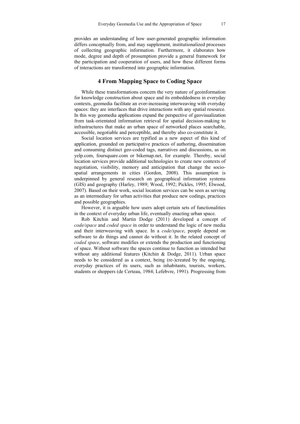provides an understanding of how user-generated geographic information differs conceptually from, and may supplement, institutionalized processes of collecting geographic information. Furthermore, it elaborates how mode, degree and depth of prosumption provide a general framework for the participation and cooperation of users, and how these different forms of interactions are transformed into geographic information.

#### **4 From Mapping Space to Coding Space**

While these transformations concern the very nature of geoinformation for knowledge construction about space and its embeddedness in everyday contexts, geomedia facilitate an ever-increasing interweaving with everyday spaces: they are interfaces that drive interactions with any spatial resource. In this way geomedia applications expand the perspective of geovisualization from task-orientated information retrieval for spatial decision-making to infrastructures that make an urban space of networked places searchable, accessible, negotiable and perceptible, and thereby also co-constitute it.

Social location services are typified as a new aspect of this kind of application, grounded on participative practices of authoring, dissemination and consuming distinct geo-coded tags, narratives and discussions, as on yelp.com, foursquare.com or bikemap.net, for example. Thereby, social location services provide additional technologies to create new contexts of negotiation, visibility, memory and anticipation that change the sociospatial arrangements in cities (Gordon, 2008). This assumption is underpinned by general research on geographical information systems (GIS) and geography (Harley, 1989; Wood, 1992; Pickles, 1995; Elwood, 2007). Based on their work, social location services can be seen as serving as an intermediary for urban activities that produce new codings, practices and possible geographies.

However, it is arguable how users adopt certain sets of functionalities in the context of everyday urban life, eventually enacting urban space.

Rob Kitchin and Martin Dodge (2011) developed a concept of *code/space* and *coded space* in order to understand the logic of new media and their interweaving with space. In a *code/space*, people depend on software to do things and cannot do without it. In the related concept of *coded space*, software modifies or extends the production and functioning of space. Without software the spaces continue to function as intended but without any additional features (Kitchin & Dodge, 2011). Urban space needs to be considered as a context, being (re-)created by the ongoing, everyday practices of its users, such as inhabitants, tourists, workers, students or shoppers (de Certeau, 1984; Lefebvre, 1991). Progressing from